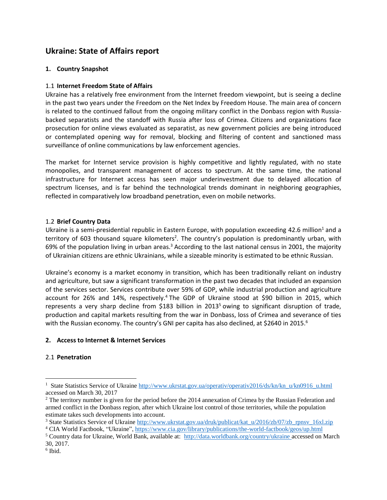# **Ukraine: State of Affairs report**

# **1. Country Snapshot**

# 1.1 **Internet Freedom State of Affairs**

Ukraine has a relatively free environment from the Internet freedom viewpoint, but is seeing a decline in the past two years under the Freedom on the Net Index by Freedom House. The main area of concern is related to the continued fallout from the ongoing military conflict in the Donbass region with Russiabacked separatists and the standoff with Russia after loss of Crimea. Citizens and organizations face prosecution for online views evaluated as separatist, as new government policies are being introduced or contemplated opening way for removal, blocking and filtering of content and sanctioned mass surveillance of online communications by law enforcement agencies.

The market for Internet service provision is highly competitive and lightly regulated, with no state monopolies, and transparent management of access to spectrum. At the same time, the national infrastructure for Internet access has seen major underinvestment due to delayed allocation of spectrum licenses, and is far behind the technological trends dominant in neighboring geographies, reflected in comparatively low broadband penetration, even on mobile networks.

## 1.2 **Brief Country Data**

Ukraine is a semi-presidential republic in Eastern Europe, with population exceeding 42.6 million<sup>1</sup> and a territory of 603 thousand square kilometers<sup>2</sup>. The country's population is predominantly urban, with 69% of the population living in urban areas.<sup>3</sup> According to the last national census in 2001, the majority of Ukrainian citizens are ethnic Ukrainians, while a sizeable minority is estimated to be ethnic Russian.

Ukraine's economy is a market economy in transition, which has been traditionally reliant on industry and agriculture, but saw a significant transformation in the past two decades that included an expansion of the services sector. Services contribute over 59% of GDP, while industrial production and agriculture account for 26% and 14%, respectively.<sup>4</sup> The GDP of Ukraine stood at \$90 billion in 2015, which represents a very sharp decline from \$183 billion in 2013<sup>5</sup> owing to significant disruption of trade, production and capital markets resulting from the war in Donbass, loss of Crimea and severance of ties with the Russian economy. The country's GNI per capita has also declined, at \$2640 in 2015.<sup>6</sup>

# **2. Access to Internet & Internet Services**

## 2.1 **Penetration**

<sup>&</sup>lt;sup>1</sup> State Statistics Service of Ukraine [http://www.ukrstat.gov.ua/operativ/operativ2016/ds/kn/kn\\_u/kn0916\\_u.html](http://www.ukrstat.gov.ua/operativ/operativ2016/ds/kn/kn_u/kn0916_u.html) accessed on March 30, 2017

<sup>&</sup>lt;sup>2</sup> The territory number is given for the period before the 2014 annexation of Crimea by the Russian Federation and armed conflict in the Donbass region, after which Ukraine lost control of those territories, while the population estimate takes such developments into account.

<sup>&</sup>lt;sup>3</sup> State Statistics Service of Ukraine [http://www.ukrstat.gov.ua/druk/publicat/kat\\_u/2016/zb/07/zb\\_rpnsv\\_16xl.zip](http://www.ukrstat.gov.ua/druk/publicat/kat_u/2016/zb/07/zb_rpnsv_16xl.zip)

<sup>4</sup> CIA World Factbook, "Ukraine",<https://www.cia.gov/library/publications/the-world-factbook/geos/up.html>

<sup>5</sup> Country data for Ukraine, World Bank, available at: http://data.worldbank.org/country/ukraine accessed on March 30, 2017.

<sup>6</sup> Ibid.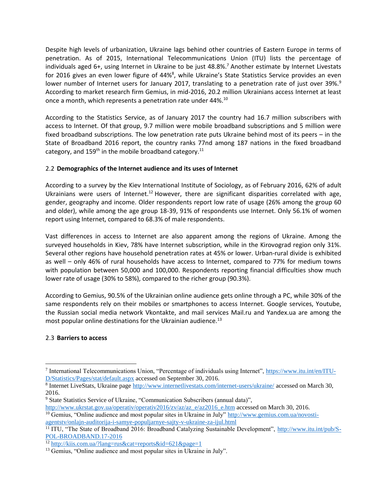Despite high levels of urbanization, Ukraine lags behind other countries of Eastern Europe in terms of penetration. As of 2015, International Telecommunications Union (ITU) lists the percentage of individuals aged 6+, using Internet in Ukraine to be just 48.8%. <sup>7</sup> Another estimate by Internet Livestats for 2016 gives an even lower figure of 44%<sup>8</sup>, while Ukraine's State Statistics Service provides an even lower number of Internet users for January 2017, translating to a penetration rate of just over 39%.<sup>9</sup> According to market research firm Gemius, in mid-2016, 20.2 million Ukrainians access Internet at least once a month, which represents a penetration rate under 44%.<sup>10</sup>

According to the Statistics Service, as of January 2017 the country had 16.7 million subscribers with access to Internet. Of that group, 9.7 million were mobile broadband subscriptions and 5 million were fixed broadband subscriptions. The low penetration rate puts Ukraine behind most of its peers – in the State of Broadband 2016 report, the country ranks 77nd among 187 nations in the fixed broadband category, and  $159<sup>th</sup>$  in the mobile broadband category.<sup>11</sup>

## 2.2 **Demographics of the Internet audience and its uses of Internet**

According to a survey by the Kiev International Institute of Sociology, as of February 2016, 62% of adult Ukrainians were users of Internet.<sup>12</sup> However, there are significant disparities correlated with age, gender, geography and income. Older respondents report low rate of usage (26% among the group 60 and older), while among the age group 18-39, 91% of respondents use Internet. Only 56.1% of women report using Internet, compared to 68.3% of male respondents.

Vast differences in access to Internet are also apparent among the regions of Ukraine. Among the surveyed households in Kiev, 78% have Internet subscription, while in the Kirovograd region only 31%. Several other regions have household penetration rates at 45% or lower. Urban-rural divide is exhibited as well – only 46% of rural households have access to Internet, compared to 77% for medium towns with population between 50,000 and 100,000. Respondents reporting financial difficulties show much lower rate of usage (30% to 58%), compared to the richer group (90.3%).

According to Gemius, 90.5% of the Ukrainian online audience gets online through a PC, while 30% of the same respondents rely on their mobiles or smartphones to access Internet. Google services, Youtube, the Russian social media network Vkontakte, and mail services Mail.ru and Yandex.ua are among the most popular online destinations for the Ukrainian audience.<sup>13</sup>

# 2.3 **Barriers to access**

<sup>7</sup> International Telecommunications Union, "Percentage of individuals using Internet", [https://www.itu.int/en/ITU-](https://www.itu.int/en/ITU-D/Statistics/Pages/stat/default.aspx)[D/Statistics/Pages/stat/default.aspx](https://www.itu.int/en/ITU-D/Statistics/Pages/stat/default.aspx) accessed on September 30, 2016.

<sup>&</sup>lt;sup>8</sup> Internet LiveStats, Ukraine page<http://www.internetlivestats.com/internet-users/ukraine/> accessed on March 30, 2016.

<sup>9</sup> State Statistics Service of Ukraine, "Communication Subscribers (annual data)",

[http://www.ukrstat.gov.ua/operativ/operativ2016/zv/az/az\\_e/az2016\\_e.htm](http://www.ukrstat.gov.ua/operativ/operativ2016/zv/az/az_e/az2016_e.htm) accessed on March 30, 2016. <sup>10</sup> Gemius, "Online audience and most popular sites in Ukraine in July" [http://www.gemius.com.ua/novosti](http://www.gemius.com.ua/novosti-agentstv/onlajn-auditorija-i-samye-populjarnye-sajty-v-ukraine-za-ijul.html)[agentstv/onlajn-auditorija-i-samye-populjarnye-sajty-v-ukraine-za-ijul.html](http://www.gemius.com.ua/novosti-agentstv/onlajn-auditorija-i-samye-populjarnye-sajty-v-ukraine-za-ijul.html)

<sup>&</sup>lt;sup>11</sup> ITU, "The State of Broadband 2016: Broadband Catalyzing Sustainable Development", [http://www.itu.int/pub/S-](http://www.itu.int/pub/S-POL-BROADBAND.17-2016)[POL-BROADBAND.17-2016](http://www.itu.int/pub/S-POL-BROADBAND.17-2016) 

 $\frac{12 \text{ http://kii.s.com.ua/?lang=rus}\&\text{cat= reports}\&\text{id}=621\&\text{page}=1}$ 

<sup>&</sup>lt;sup>13</sup> Gemius, "Online audience and most popular sites in Ukraine in July".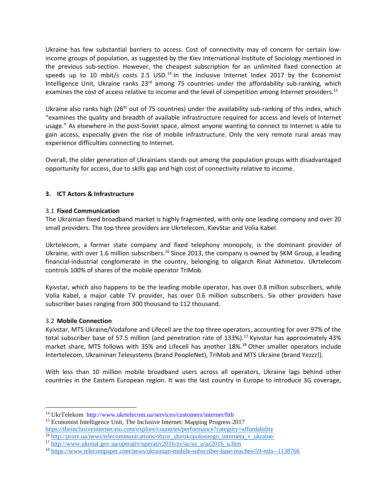Ukraine has few substantial barriers to access. Cost of connectivity may of concern for certain lowincome groups of population, as suggested by the Kiev International Institute of Sociology mentioned in the previous sub-section. However, the cheapest subscription for an unlimited fixed connection at speeds up to 10 mbit/s costs 2.5 USD.<sup>14</sup> In the Inclusive Internet Index 2017 by the Economist Intelligence Unit, Ukraine ranks 23<sup>rd</sup> among 75 countries under the affordability sub-ranking, which examines the cost of access relative to income and the level of competition among Internet providers.<sup>15</sup>

Ukraine also ranks high (26<sup>th</sup> out of 75 countries) under the availability sub-ranking of this index, which "examines the quality and breadth of available infrastructure required for access and levels of Internet usage." As elsewhere in the post-Soviet space, almost anyone wanting to connect to Internet is able to gain access, especially given the rise of mobile infrastructure. Only the very remote rural areas may experience difficulties connecting to Internet.

Overall, the older generation of Ukrainians stands out among the population groups with disadvantaged opportunity for access, due to skills gap and high cost of connectivity relative to income.

## **3. ICT Actors & Infrastructure**

## 3.1 **Fixed Communication**

The Ukrainian fixed broadband market is highly fragmented, with only one leading company and over 20 small providers. The top three providers are Ukrtelecom, KievStar and Volia Kabel.

Ukrtelecom, a former state company and fixed telephony monopoly, is the dominant provider of Ukraine, with over 1.6 million subscribers.<sup>16</sup> Since 2013, the company is owned by SKM Group, a leading financial-industrial conglomerate in the country, belonging to oligarch Rinat Akhmetov. Ukrtelecom controls 100% of shares of the mobile operator TriMob.

Kyivstar, which also happens to be the leading mobile operator, has over 0.8 million subscribers, while Volia Kabel, a major cable TV provider, has over 0.6 million subscribers. Six other providers have subscriber bases ranging from 300 thousand to 112 thousand.

## 3.2 **Mobile Connection**

 $\overline{a}$ 

Kyivstar, MTS Ukraine/Vodafone and Lifecell are the top three operators, accounting for over 97% of the total subscriber base of 57.5 million (and penetration rate of 133%).<sup>17</sup> Kyivstar has approximately 43% market share, MTS follows with 35% and Lifecell has another 18%.<sup>18</sup> Other smaller operators include Intertelecom, Ukraininan Telesystems (brand PeopleNet), TriMob and MTS Ukraine (brand Yezzz!).

With less than 10 million mobile broadband users across all operators, Ukraine lags behind other countries in the Eastern European region. It was the last country in Europe to introduce 3G coverage,

<sup>14</sup> UkrTeleko[m http://www.ukrtelecom.ua/services/customers/internet/fttb](http://www.ukrtelecom.ua/services/customers/internet/fttb) 

<sup>&</sup>lt;sup>15</sup> Economist Intelligence Unit, The Inclusive Internet: Mapping Progress 2017 <https://theinclusiveinternet.eiu.com/explore/countries/performance?category=affordability>

<sup>16</sup> [http://protv.ua/news/telecommunications/obzor\\_shirokopolosnogo\\_interneta\\_v\\_ukraine/](http://protv.ua/news/telecommunications/obzor_shirokopolosnogo_interneta_v_ukraine/)

<sup>17</sup> [http://www.ukrstat.gov.ua/operativ/operativ2016/zv/az/az\\_u/az2016\\_u.htm](http://www.ukrstat.gov.ua/operativ/operativ2016/zv/az/az_u/az2016_u.htm)

<sup>18</sup> <https://www.telecompaper.com/news/ukrainian-mobile-subscriber-base-reaches-59-mln--1138766>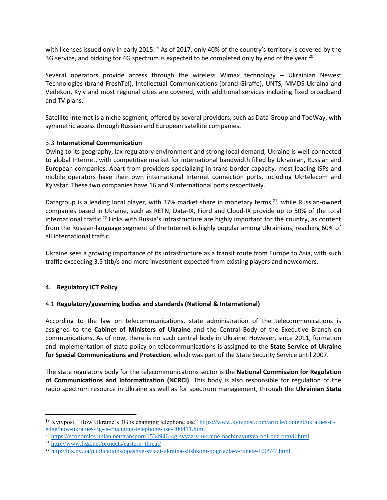with licenses issued only in early 2015.<sup>19</sup> As of 2017, only 40% of the country's territory is covered by the 3G service, and bidding for 4G spectrum is expected to be completed only by end of the year.<sup>20</sup>

Several operators provide access through the wireless Wimax technology – Ukrainian Newest Technologies (brand FreshTel), Intellectual Communications (brand Giraffe), UNTS, MMDS Ukraina and Vedekon. Kyiv and most regional cities are covered, with additional services including fixed broadband and TV plans.

Satellite Internet is a niche segment, offered by several providers, such as Data Group and TooWay, with symmetric access through Russian and European satellite companies.

## 3.3 **International Communication**

Owing to its geography, lax regulatory environment and strong local demand, Ukraine is well-connected to global Internet, with competitive market for international bandwidth filled by Ukrainian, Russian and European companies. Apart from providers specializing in trans-border capacity, most leading ISPs and mobile operators have their own international Internet connection ports, including Ukrtelecom and Kyivstar. These two companies have 16 and 9 international ports respectively.

Datagroup is a leading local player, with 37% market share in monetary terms,<sup>21</sup> while Russian-owned companies based in Ukraine, such as RETN, Data-IX, Fiord and Cloud-IX provide up to 50% of the total international traffic.<sup>22</sup> Links with Russia's infrastructure are highly important for the country, as content from the Russian-language segment of the Internet is highly popular among Ukrainians, reaching 60% of all international traffic.

Ukraine sees a growing importance of its infrastructure as a transit route from Europe to Asia, with such traffic exceeding 3.5 titb/s and more investment expected from existing players and newcomers.

## **4. Regulatory ICT Policy**

 $\overline{a}$ 

## 4.1 **Regulatory/governing bodies and standards (National & International)**

According to the law on telecommunications, state administration of the telecommunications is assigned to the **Cabinet of Ministers of Ukraine** and the Central Body of the Executive Branch on communications. As of now, there is no such central body in Ukraine. However, since 2011, formation and implementation of state policy on telecommunications is assigned to the **State Service of Ukraine for Special Communications and Protection**, which was part of the State Security Service until 2007.

The state regulatory body for the telecommunications sector is the **National Commission for Regulation of Communications and Informatization (NCRCI)**. This body is also responsible for regulation of the radio spectrum resource in Ukraine as well as for spectrum management, through the **Ukrainian State** 

<sup>19</sup> Kyivpost, "How Ukraine's 3G is changing telephone use" [https://www.kyivpost.com/article/content/ukraines-it](https://www.kyivpost.com/article/content/ukraines-it-edge/how-ukraines-3g-is-changing-telephone-use-400411.html)[edge/how-ukraines-3g-is-changing-telephone-use-400411.html](https://www.kyivpost.com/article/content/ukraines-it-edge/how-ukraines-3g-is-changing-telephone-use-400411.html)

<sup>20</sup> <https://economics.unian.net/transport/1534946-4g-svyaz-v-ukraine-nachinayutsya-boi-bez-pravil.html>

<sup>21</sup> [http://www.liga.net/projects/eastern\\_threat/](http://www.liga.net/projects/eastern_threat/)

<sup>22</sup> <http://biz.nv.ua/publications/opasnye-svjazi-ukraina-slishkom-pogrjazla-v-runete-100577.html>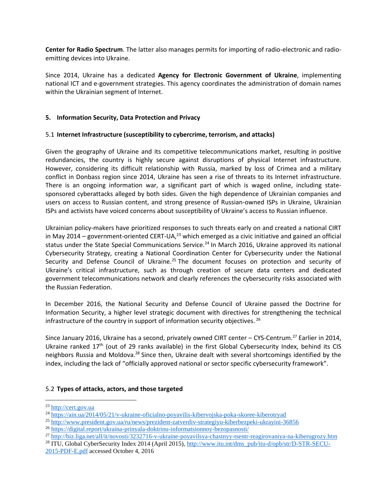**Center for Radio Spectrum**. The latter also manages permits for importing of radio-electronic and radioemitting devices into Ukraine.

Since 2014, Ukraine has a dedicated **Agency for Electronic Government of Ukraine**, implementing national ICT and e-government strategies. This agency coordinates the administration of domain names within the Ukrainian segment of Internet.

## **5. Information Security, Data Protection and Privacy**

## 5.1 **Internet Infrastructure (susceptibility to cybercrime, terrorism, and attacks)**

Given the geography of Ukraine and its competitive telecommunications market, resulting in positive redundancies, the country is highly secure against disruptions of physical Internet infrastructure. However, considering its difficult relationship with Russia, marked by loss of Crimea and a military conflict in Donbass region since 2014, Ukraine has seen a rise of threats to its Internet infrastructure. There is an ongoing information war, a significant part of which is waged online, including statesponsored cyberattacks alleged by both sides. Given the high dependence of Ukrainian companies and users on access to Russian content, and strong presence of Russian-owned ISPs in Ukraine, Ukrainian ISPs and activists have voiced concerns about susceptibility of Ukraine's access to Russian influence.

Ukrainian policy-makers have prioritized responses to such threats early on and created a national CIRT in May 2014 – government-oriented CERT-UA, $^{23}$  which emerged as a civic initiative and gained an official status under the State Special Communications Service.<sup>24</sup> In March 2016, Ukraine approved its national Cybersecurity Strategy, creating a National Coordination Center for Cybersecurity under the National Security and Defense Council of Ukraine.<sup>25</sup> The document focuses on protection and security of Ukraine's critical infrastructure, such as through creation of secure data centers and dedicated government telecommunications network and clearly references the cybersecurity risks associated with the Russian Federation.

In December 2016, the National Security and Defense Council of Ukraine passed the Doctrine for Information Security, a higher level strategic document with directives for strengthening the technical infrastructure of the country in support of information security objectives.  $^{26}$ 

Since January 2016, Ukraine has a second, privately owned CIRT center - CYS-Centrum.<sup>27</sup> Earlier in 2014, Ukraine ranked  $17<sup>th</sup>$  (out of 29 ranks available) in the first Global Cybersecurity Index, behind its CIS neighbors Russia and Moldova.<sup>28</sup> Since then, Ukraine dealt with several shortcomings identified by the index, including the lack of "officially approved national or sector specific cybersecurity framework".

## 5.2 **Types of attacks, actors, and those targeted**

<sup>23</sup> [http://cert.gov.ua](http://cert.gov.ua/)

<sup>24</sup> <https://ain.ua/2014/05/21/v-ukraine-oficialno-poyavilis-kibervojska-poka-skoree-kiberotryad>

<sup>25</sup> <http://www.president.gov.ua/ru/news/prezident-zatverdiv-strategiyu-kiberbezpeki-ukrayini-36856>

<sup>26</sup> <https://digital.report/ukraina-prinyala-doktrinu-informatsionnoy-bezopasnosti/>

<sup>27</sup> <http://biz.liga.net/all/it/novosti/3232716-v-ukraine-poyavilsya-chastnyy-tsentr-reagirovaniya-na-kiberugrozy.htm>

<sup>&</sup>lt;sup>28</sup> ITU, Global CyberSecurity Index 2014 (April 2015), [http://www.itu.int/dms\\_pub/itu-d/opb/str/D-STR-SECU-](http://www.itu.int/dms_pub/itu-d/opb/str/D-STR-SECU-2015-PDF-E.pdf)[2015-PDF-E.pdf](http://www.itu.int/dms_pub/itu-d/opb/str/D-STR-SECU-2015-PDF-E.pdf) accessed October 4, 2016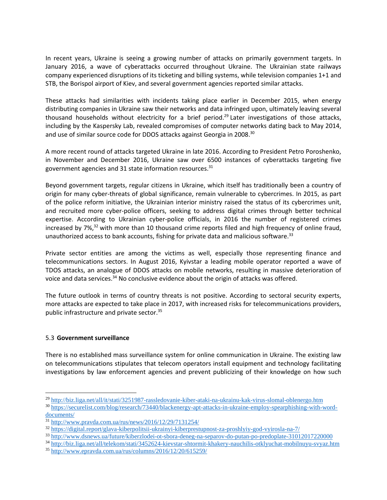In recent years, Ukraine is seeing a growing number of attacks on primarily government targets. In January 2016, a wave of cyberattacks occurred throughout Ukraine. The Ukrainian state railways company experienced disruptions of its ticketing and billing systems, while television companies 1+1 and STB, the Borispol airport of Kiev, and several government agencies reported similar attacks.

These attacks had similarities with incidents taking place earlier in December 2015, when energy distributing companies in Ukraine saw their networks and data infringed upon, ultimately leaving several thousand households without electricity for a brief period. <sup>29</sup> Later investigations of those attacks, including by the Kaspersky Lab, revealed compromises of computer networks dating back to May 2014, and use of similar source code for DDOS attacks against Georgia in 2008.<sup>30</sup>

A more recent round of attacks targeted Ukraine in late 2016. According to President Petro Poroshenko, in November and December 2016, Ukraine saw over 6500 instances of cyberattacks targeting five government agencies and 31 state information resources.<sup>31</sup>

Beyond government targets, regular citizens in Ukraine, which itself has traditionally been a country of origin for many cyber-threats of global significance, remain vulnerable to cybercrimes. In 2015, as part of the police reform initiative, the Ukrainian interior ministry raised the status of its cybercrimes unit, and recruited more cyber-police officers, seeking to address digital crimes through better technical expertise. According to Ukrainian cyber-police officials, in 2016 the number of registered crimes increased by  $7\frac{6}{32}$  with more than 10 thousand crime reports filed and high frequency of online fraud, unauthorized access to bank accounts, fishing for private data and malicious software.<sup>33</sup>

Private sector entities are among the victims as well, especially those representing finance and telecommunications sectors. In August 2016, Kyivstar a leading mobile operator reported a wave of TDOS attacks, an analogue of DDOS attacks on mobile networks, resulting in massive deterioration of voice and data services.<sup>34</sup> No conclusive evidence about the origin of attacks was offered.

The future outlook in terms of country threats is not positive. According to sectoral security experts, more attacks are expected to take place in 2017, with increased risks for telecommunications providers, public infrastructure and private sector.<sup>35</sup>

# 5.3 **Government surveillance**

 $\overline{a}$ 

There is no established mass surveillance system for online communication in Ukraine. The existing law on telecommunications stipulates that telecom operators install equipment and technology facilitating investigations by law enforcement agencies and prevent publicizing of their knowledge on how such

<sup>29</sup> <http://biz.liga.net/all/it/stati/3251987-rassledovanie-kiber-ataki-na-ukrainu-kak-virus-slomal-oblenergo.htm>

<sup>30</sup> [https://securelist.com/blog/research/73440/blackenergy-apt-attacks-in-ukraine-employ-spearphishing-with-word](https://securelist.com/blog/research/73440/blackenergy-apt-attacks-in-ukraine-employ-spearphishing-with-word-documents/)[documents/](https://securelist.com/blog/research/73440/blackenergy-apt-attacks-in-ukraine-employ-spearphishing-with-word-documents/)

<sup>31</sup> <http://www.pravda.com.ua/rus/news/2016/12/29/7131254/>

<sup>32</sup> <https://digital.report/glava-kiberpolitsii-ukrainyi-kiberprestupnost-za-proshlyiy-god-vyirosla-na-7/>

<sup>33</sup> <http://www.dsnews.ua/future/kiberzlodei-ot-sbora-deneg-na-separov-do-putan-po-predoplate-31012017220000>

<sup>34</sup> <http://biz.liga.net/all/telekom/stati/3452624-kievstar-shtormit-khakery-nauchilis-otklyuchat-mobilnuyu-svyaz.htm>

<sup>35</sup> <http://www.epravda.com.ua/rus/columns/2016/12/20/615259/>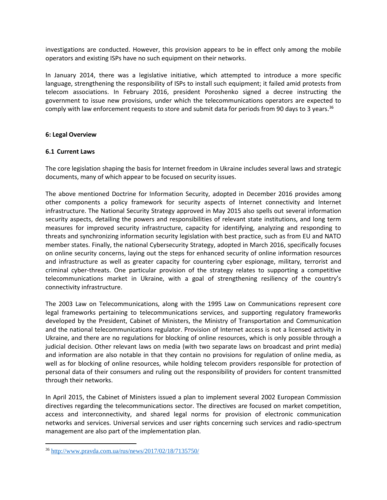investigations are conducted. However, this provision appears to be in effect only among the mobile operators and existing ISPs have no such equipment on their networks.

In January 2014, there was a legislative initiative, which attempted to introduce a more specific language, strengthening the responsibility of ISPs to install such equipment; it failed amid protests from telecom associations. In February 2016, president Poroshenko signed a decree instructing the government to issue new provisions, under which the telecommunications operators are expected to comply with law enforcement requests to store and submit data for periods from 90 days to 3 years.<sup>36</sup>

#### **6: Legal Overview**

## **6.1 Current Laws**

The core legislation shaping the basis for Internet freedom in Ukraine includes several laws and strategic documents, many of which appear to be focused on security issues.

The above mentioned Doctrine for Information Security, adopted in December 2016 provides among other components a policy framework for security aspects of Internet connectivity and Internet infrastructure. The National Security Strategy approved in May 2015 also spells out several information security aspects, detailing the powers and responsibilities of relevant state institutions, and long term measures for improved security infrastructure, capacity for identifying, analyzing and responding to threats and synchronizing information security legislation with best practice, such as from EU and NATO member states. Finally, the national Cybersecurity Strategy, adopted in March 2016, specifically focuses on online security concerns, laying out the steps for enhanced security of online information resources and infrastructure as well as greater capacity for countering cyber espionage, military, terrorist and criminal cyber-threats. One particular provision of the strategy relates to supporting a competitive telecommunications market in Ukraine, with a goal of strengthening resiliency of the country's connectivity infrastructure.

The 2003 Law on Telecommunications, along with the 1995 Law on Communications represent core legal frameworks pertaining to telecommunications services, and supporting regulatory frameworks developed by the President, Cabinet of Ministers, the Ministry of Transportation and Communication and the national telecommunications regulator. Provision of Internet access is not a licensed activity in Ukraine, and there are no regulations for blocking of online resources, which is only possible through a judicial decision. Other relevant laws on media (with two separate laws on broadcast and print media) and information are also notable in that they contain no provisions for regulation of online media, as well as for blocking of online resources, while holding telecom providers responsible for protection of personal data of their consumers and ruling out the responsibility of providers for content transmitted through their networks.

In April 2015, the Cabinet of Ministers issued a plan to implement several 2002 European Commission directives regarding the telecommunications sector. The directives are focused on market competition, access and interconnectivity, and shared legal norms for provision of electronic communication networks and services. Universal services and user rights concerning such services and radio-spectrum management are also part of the implementation plan.

<sup>36</sup> <http://www.pravda.com.ua/rus/news/2017/02/18/7135750/>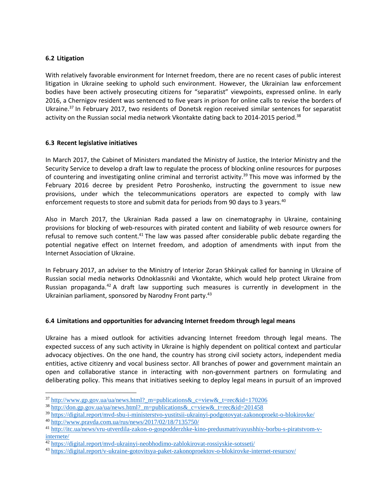## **6.2 Litigation**

With relatively favorable environment for Internet freedom, there are no recent cases of public interest litigation in Ukraine seeking to uphold such environment. However, the Ukrainian law enforcement bodies have been actively prosecuting citizens for "separatist" viewpoints, expressed online. In early 2016, a Chernigov resident was sentenced to five years in prison for online calls to revise the borders of Ukraine.<sup>37</sup> In February 2017, two residents of Donetsk region received similar sentences for separatist activity on the Russian social media network Vkontakte dating back to 2014-2015 period.<sup>38</sup>

## **6.3 Recent legislative initiatives**

In March 2017, the Cabinet of Ministers mandated the Ministry of Justice, the Interior Ministry and the Security Service to develop a draft law to regulate the process of blocking online resources for purposes of countering and investigating online criminal and terrorist activity.<sup>39</sup> This move was informed by the February 2016 decree by president Petro Poroshenko, instructing the government to issue new provisions, under which the telecommunications operators are expected to comply with law enforcement requests to store and submit data for periods from 90 days to 3 years.<sup>40</sup>

Also in March 2017, the Ukrainian Rada passed a law on cinematography in Ukraine, containing provisions for blocking of web-resources with pirated content and liability of web resource owners for refusal to remove such content.<sup>41</sup> The law was passed after considerable public debate regarding the potential negative effect on Internet freedom, and adoption of amendments with input from the Internet Association of Ukraine.

In February 2017, an adviser to the Ministry of Interior Zoran Shkiryak called for banning in Ukraine of Russian social media networks Odnoklassniki and Vkontakte, which would help protect Ukraine from Russian propaganda. $42$  A draft law supporting such measures is currently in development in the Ukrainian parliament, sponsored by Narodny Front party.<sup>43</sup>

# **6.4 Limitations and opportunities for advancing Internet freedom through legal means**

Ukraine has a mixed outlook for activities advancing Internet freedom through legal means. The expected success of any such activity in Ukraine is highly dependent on political context and particular advocacy objectives. On the one hand, the country has strong civil society actors, independent media entities, active citizenry and vocal business sector. All branches of power and government maintain an open and collaborative stance in interacting with non-government partners on formulating and deliberating policy. This means that initiatives seeking to deploy legal means in pursuit of an improved

<sup>&</sup>lt;sup>37</sup> http://www.gp.gov.ua/ua/news.html? m=publications& c=view& t=rec&id=170206

<sup>38</sup> http://don.gp.gov.ua/ua/news.html? m=publications& c=view& t=rec&id=201458

<sup>39</sup> <https://digital.report/mvd-sbu-i-ministerstvo-yustitsii-ukrainyi-podgotovyat-zakonoproekt-o-blokirovke/>

<sup>40</sup> <http://www.pravda.com.ua/rus/news/2017/02/18/7135750/>

<sup>41</sup> [http://itc.ua/news/vru-utverdila-zakon-o-gospodderzhke-kino-predusmatrivayushhiy-borbu-s-piratstvom-v](http://itc.ua/news/vru-utverdila-zakon-o-gospodderzhke-kino-predusmatrivayushhiy-borbu-s-piratstvom-v-internete/)[internete/](http://itc.ua/news/vru-utverdila-zakon-o-gospodderzhke-kino-predusmatrivayushhiy-borbu-s-piratstvom-v-internete/)

 $\frac{42 \text{ https://digital.report/mvd-ukrainyi-neobhodimo-zablokirovat-rossiyskie-sotsseti/}}{42}$  $\frac{42 \text{ https://digital.report/mvd-ukrainyi-neobhodimo-zablokirovat-rossiyskie-sotsseti/}}{42}$  $\frac{42 \text{ https://digital.report/mvd-ukrainyi-neobhodimo-zablokirovat-rossiyskie-sotsseti/}}{42}$ 

<sup>43</sup> <https://digital.report/v-ukraine-gotovitsya-paket-zakonoproektov-o-blokirovke-internet-resursov/>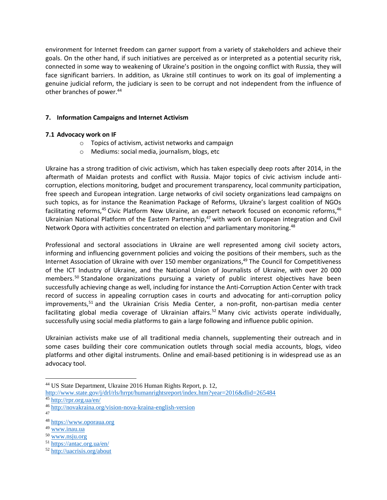environment for Internet freedom can garner support from a variety of stakeholders and achieve their goals. On the other hand, if such initiatives are perceived as or interpreted as a potential security risk, connected in some way to weakening of Ukraine's position in the ongoing conflict with Russia, they will face significant barriers. In addition, as Ukraine still continues to work on its goal of implementing a genuine judicial reform, the judiciary is seen to be corrupt and not independent from the influence of other branches of power.<sup>44</sup>

# **7. Information Campaigns and Internet Activism**

## **7.1 Advocacy work on IF**

- o Topics of activism, activist networks and campaign
- o Mediums: social media, journalism, blogs, etc

Ukraine has a strong tradition of civic activism, which has taken especially deep roots after 2014, in the aftermath of Maidan protests and conflict with Russia. Major topics of civic activism include anticorruption, elections monitoring, budget and procurement transparency, local community participation, free speech and European integration. Large networks of civil society organizations lead campaigns on such topics, as for instance the Reanimation Package of Reforms, Ukraine's largest coalition of NGOs facilitating reforms,<sup>45</sup> Civic Platform New Ukraine, an expert network focused on economic reforms,<sup>46</sup> Ukrainian National Platform of the Eastern Partnership,<sup>47</sup> with work on European integration and Civil Network Opora with activities concentrated on election and parliamentary monitoring.<sup>48</sup>

Professional and sectoral associations in Ukraine are well represented among civil society actors, informing and influencing government policies and voicing the positions of their members, such as the Internet Association of Ukraine with over 150 member organizations, <sup>49</sup> The Council for Competitiveness of the ICT Industry of Ukraine, and the National Union of Journalists of Ukraine, with over 20 000 members. <sup>50</sup> Standalone organizations pursuing a variety of public interest objectives have been successfully achieving change as well, including for instance the Anti-Corruption Action Center with track record of success in appealing corruption cases in courts and advocating for anti-corruption policy improvements,<sup>51</sup> and the Ukrainian Crisis Media Center, a non-profit, non-partisan media center facilitating global media coverage of Ukrainian affairs.<sup>52</sup> Many civic activists operate individually, successfully using social media platforms to gain a large following and influence public opinion.

Ukrainian activists make use of all traditional media channels, supplementing their outreach and in some cases building their core communication outlets through social media accounts, blogs, video platforms and other digital instruments. Online and email-based petitioning is in widespread use as an advocacy tool.

<sup>44</sup> US State Department, Ukraine 2016 Human Rights Report, p. 12,

<http://www.state.gov/j/drl/rls/hrrpt/humanrightsreport/index.htm?year=2016&dlid=265484>

<sup>45</sup> <http://rpr.org.ua/en/>

<sup>46</sup> <http://novakraina.org/vision-nova-kraina-english-version>

<sup>47</sup>

<sup>48</sup> [https://www.oporaua.org](https://www.oporaua.org/)

<sup>49</sup> [www.inau.ua](http://www.inau.ua/)

<sup>50</sup> [www.nsju.org](http://www.nsju.org/) 

<sup>51</sup> <https://antac.org.ua/en/>

<sup>52</sup> <http://uacrisis.org/about>